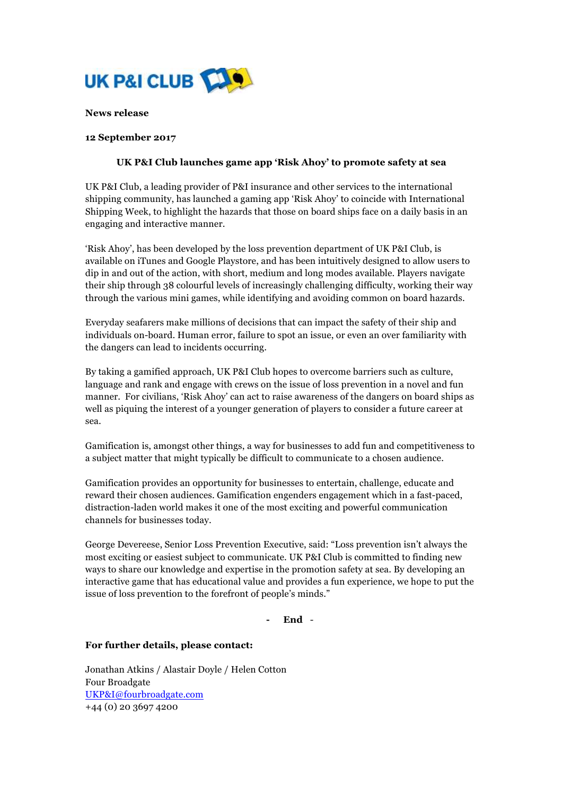

#### **News release**

### **12 September 2017**

# **UK P&I Club launches game app 'Risk Ahoy' to promote safety at sea**

UK P&I Club, a leading provider of P&I insurance and other services to the international shipping community, has launched a gaming app 'Risk Ahoy' to coincide with International Shipping Week, to highlight the hazards that those on board ships face on a daily basis in an engaging and interactive manner.

'Risk Ahoy', has been developed by the loss prevention department of UK P&I Club, is available on iTunes and Google Playstore, and has been intuitively designed to allow users to dip in and out of the action, with short, medium and long modes available. Players navigate their ship through 38 colourful levels of increasingly challenging difficulty, working their way through the various mini games, while identifying and avoiding common on board hazards.

Everyday seafarers make millions of decisions that can impact the safety of their ship and individuals on-board. Human error, failure to spot an issue, or even an over familiarity with the dangers can lead to incidents occurring.

By taking a gamified approach, UK P&I Club hopes to overcome barriers such as culture, language and rank and engage with crews on the issue of loss prevention in a novel and fun manner. For civilians, 'Risk Ahoy' can act to raise awareness of the dangers on board ships as well as piquing the interest of a younger generation of players to consider a future career at sea.

Gamification is, amongst other things, a way for businesses to add fun and competitiveness to a subject matter that might typically be difficult to communicate to a chosen audience.

Gamification provides an opportunity for businesses to entertain, challenge, educate and reward their chosen audiences. Gamification engenders engagement which in a fast-paced, distraction-laden world makes it one of the most exciting and powerful communication channels for businesses today.

George Devereese, Senior Loss Prevention Executive, said: "Loss prevention isn't always the most exciting or easiest subject to communicate. UK P&I Club is committed to finding new ways to share our knowledge and expertise in the promotion safety at sea. By developing an interactive game that has educational value and provides a fun experience, we hope to put the issue of loss prevention to the forefront of people's minds."

**- End** -

### **For further details, please contact:**

Jonathan Atkins / Alastair Doyle / Helen Cotton Four Broadgate UKP&I@fourbroadgate.com +44 (0) 20 3697 4200